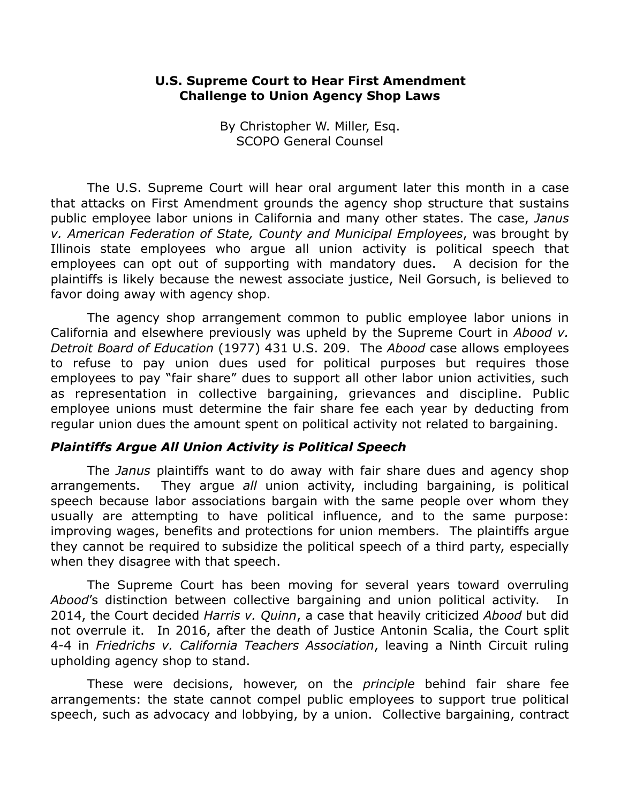## **U.S. Supreme Court to Hear First Amendment Challenge to Union Agency Shop Laws**

By Christopher W. Miller, Esq. SCOPO General Counsel

 The U.S. Supreme Court will hear oral argument later this month in a case that attacks on First Amendment grounds the agency shop structure that sustains public employee labor unions in California and many other states. The case, *Janus v. American Federation of State, County and Municipal Employees*, was brought by Illinois state employees who argue all union activity is political speech that employees can opt out of supporting with mandatory dues. A decision for the plaintiffs is likely because the newest associate justice, Neil Gorsuch, is believed to favor doing away with agency shop.

The agency shop arrangement common to public employee labor unions in California and elsewhere previously was upheld by the Supreme Court in *Abood v. Detroit Board of Education* (1977) 431 U.S. 209. The *Abood* case allows employees to refuse to pay union dues used for political purposes but requires those employees to pay "fair share" dues to support all other labor union activities, such as representation in collective bargaining, grievances and discipline. Public employee unions must determine the fair share fee each year by deducting from regular union dues the amount spent on political activity not related to bargaining.

## *Plaintiffs Argue All Union Activity is Political Speech*

The *Janus* plaintiffs want to do away with fair share dues and agency shop arrangements. They argue *all* union activity, including bargaining, is political speech because labor associations bargain with the same people over whom they usually are attempting to have political influence, and to the same purpose: improving wages, benefits and protections for union members. The plaintiffs argue they cannot be required to subsidize the political speech of a third party, especially when they disagree with that speech.

The Supreme Court has been moving for several years toward overruling *Abood*'s distinction between collective bargaining and union political activity. In 2014, the Court decided *Harris v. Quinn*, a case that heavily criticized *Abood* but did not overrule it. In 2016, after the death of Justice Antonin Scalia, the Court split 4-4 in *Friedrichs v. California Teachers Association*, leaving a Ninth Circuit ruling upholding agency shop to stand.

 These were decisions, however, on the *principle* behind fair share fee arrangements: the state cannot compel public employees to support true political speech, such as advocacy and lobbying, by a union. Collective bargaining, contract